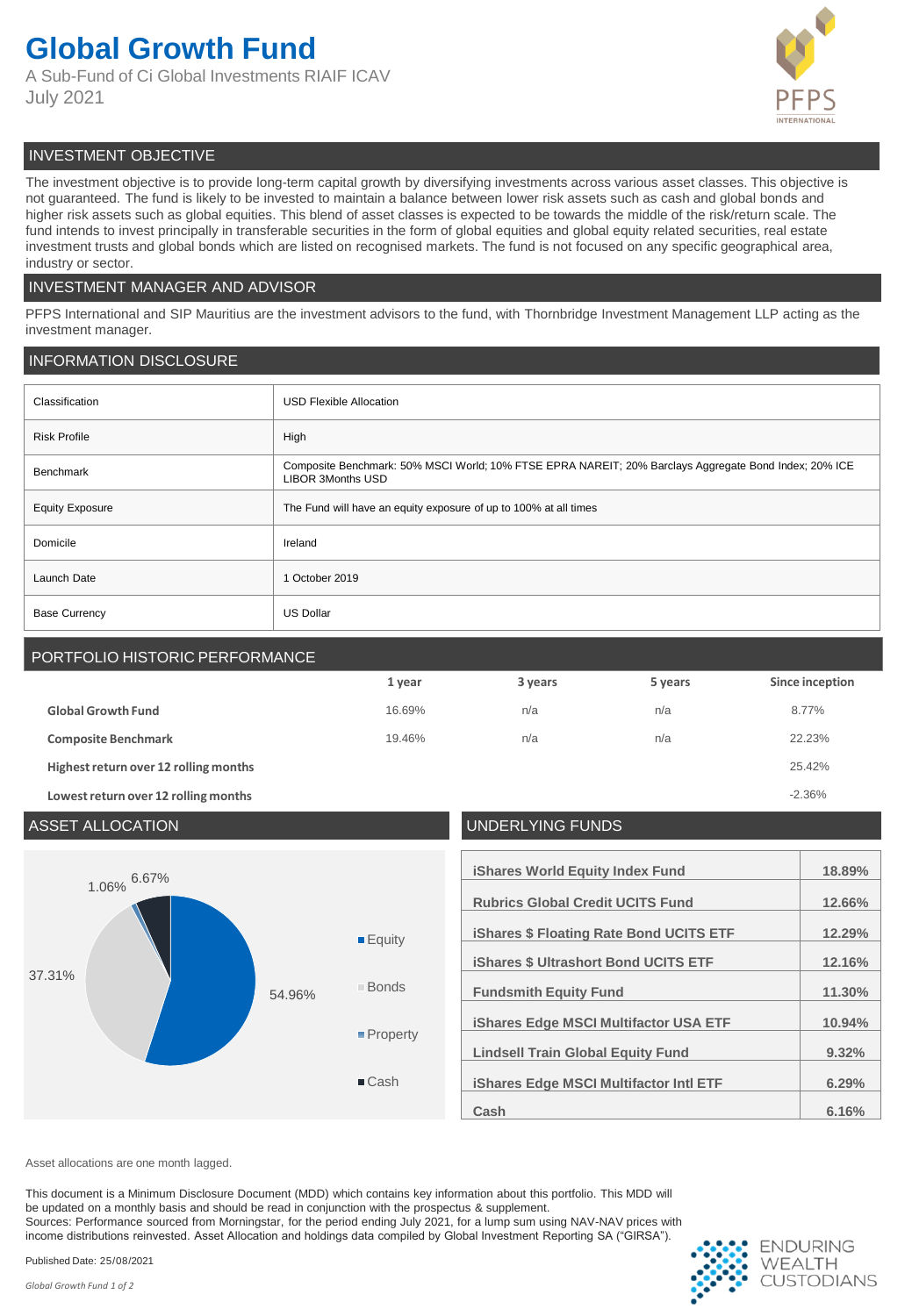## **Global Growth Fund**

A Sub-Fund of Ci Global Investments RIAIF ICAV July 2021



### INVESTMENT OBJECTIVE

The investment objective is to provide long-term capital growth by diversifying investments across various asset classes. This objective is not guaranteed. The fund is likely to be invested to maintain a balance between lower risk assets such as cash and global bonds and higher risk assets such as global equities. This blend of asset classes is expected to be towards the middle of the risk/return scale. The fund intends to invest principally in transferable securities in the form of global equities and global equity related securities, real estate investment trusts and global bonds which are listed on recognised markets. The fund is not focused on any specific geographical area, industry or sector.

#### INVESTMENT MANAGER AND ADVISOR

PFPS International and SIP Mauritius are the investment advisors to the fund, with Thornbridge Investment Management LLP acting as the investment manager.

#### INFORMATION DISCLOSURE

| Classification         | <b>USD Flexible Allocation</b>                                                                                                    |  |
|------------------------|-----------------------------------------------------------------------------------------------------------------------------------|--|
| <b>Risk Profile</b>    | High                                                                                                                              |  |
| <b>Benchmark</b>       | Composite Benchmark: 50% MSCI World; 10% FTSE EPRA NAREIT; 20% Barclays Aggregate Bond Index; 20% ICE<br><b>LIBOR 3Months USD</b> |  |
| <b>Equity Exposure</b> | The Fund will have an equity exposure of up to 100% at all times                                                                  |  |
| Domicile               | Ireland                                                                                                                           |  |
| Launch Date            | 1 October 2019                                                                                                                    |  |
| <b>Base Currency</b>   | <b>US Dollar</b>                                                                                                                  |  |

### PORTFOLIO HISTORIC PERFORMANCE **1 year 3 years 5 years Since inception Global Growth Fund** 16.69% n/a n/a n/a n/a 8.77% **Composite Benchmark** 19.46% n/a n/a n/a n/a 22.23% **Highest return over 12 rolling months** 25.42%

**Lowest return over 12 rolling months** -2.36%



Asset allocations are one month lagged.

This document is a Minimum Disclosure Document (MDD) which contains key information about this portfolio. This MDD will be updated on a monthly basis and should be read in conjunction with the prospectus & supplement. Sources: Performance sourced from Morningstar, for the period ending July 2021, for a lump sum using NAV-NAV prices with income distributions reinvested. Asset Allocation and holdings data compiled by Global Investment Reporting SA ("GIRSA").

Published Date: 25/08/2021